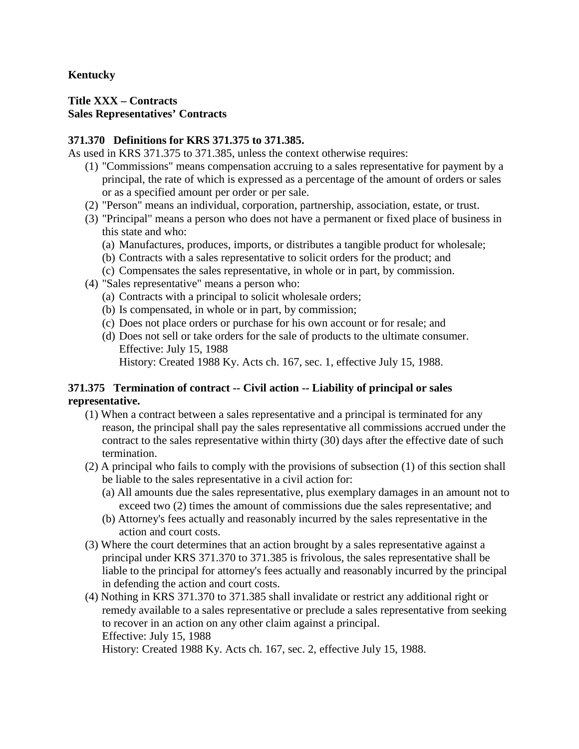## **Kentucky**

#### **Title XXX – Contracts Sales Representatives' Contracts**

#### **371.370 Definitions for KRS 371.375 to 371.385.**

As used in KRS 371.375 to 371.385, unless the context otherwise requires:

- (1) "Commissions" means compensation accruing to a sales representative for payment by a principal, the rate of which is expressed as a percentage of the amount of orders or sales or as a specified amount per order or per sale.
- (2) "Person" means an individual, corporation, partnership, association, estate, or trust.
- (3) "Principal" means a person who does not have a permanent or fixed place of business in this state and who:
	- (a) Manufactures, produces, imports, or distributes a tangible product for wholesale;
	- (b) Contracts with a sales representative to solicit orders for the product; and
	- (c) Compensates the sales representative, in whole or in part, by commission.
- (4) "Sales representative" means a person who:
	- (a) Contracts with a principal to solicit wholesale orders;
	- (b) Is compensated, in whole or in part, by commission;
	- (c) Does not place orders or purchase for his own account or for resale; and
	- (d) Does not sell or take orders for the sale of products to the ultimate consumer. Effective: July 15, 1988

History: Created 1988 Ky. Acts ch. 167, sec. 1, effective July 15, 1988.

## **371.375 Termination of contract -- Civil action -- Liability of principal or sales representative.**

- (1) When a contract between a sales representative and a principal is terminated for any reason, the principal shall pay the sales representative all commissions accrued under the contract to the sales representative within thirty (30) days after the effective date of such termination.
- (2) A principal who fails to comply with the provisions of subsection (1) of this section shall be liable to the sales representative in a civil action for:
	- (a) All amounts due the sales representative, plus exemplary damages in an amount not to exceed two (2) times the amount of commissions due the sales representative; and
	- (b) Attorney's fees actually and reasonably incurred by the sales representative in the action and court costs.
- (3) Where the court determines that an action brought by a sales representative against a principal under KRS 371.370 to 371.385 is frivolous, the sales representative shall be liable to the principal for attorney's fees actually and reasonably incurred by the principal in defending the action and court costs.
- (4) Nothing in KRS 371.370 to 371.385 shall invalidate or restrict any additional right or remedy available to a sales representative or preclude a sales representative from seeking to recover in an action on any other claim against a principal. Effective: July 15, 1988

History: Created 1988 Ky. Acts ch. 167, sec. 2, effective July 15, 1988.